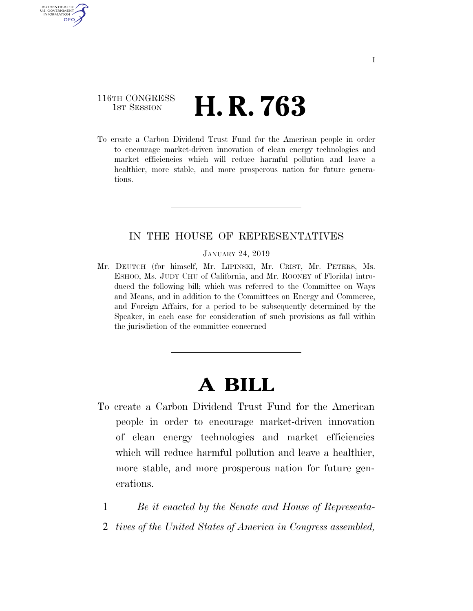## 116TH CONGRESS **1st Session H. R. 763**

AUTHENTICATED U.S. GOVERNMENT **GPO** 

> To create a Carbon Dividend Trust Fund for the American people in order to encourage market-driven innovation of clean energy technologies and market efficiencies which will reduce harmful pollution and leave a healthier, more stable, and more prosperous nation for future generations.

## IN THE HOUSE OF REPRESENTATIVES

#### JANUARY 24, 2019

Mr. DEUTCH (for himself, Mr. LIPINSKI, Mr. CRIST, Mr. PETERS, Ms. ESHOO, Ms. JUDY CHU of California, and Mr. ROONEY of Florida) introduced the following bill; which was referred to the Committee on Ways and Means, and in addition to the Committees on Energy and Commerce, and Foreign Affairs, for a period to be subsequently determined by the Speaker, in each case for consideration of such provisions as fall within the jurisdiction of the committee concerned

# **A BILL**

- To create a Carbon Dividend Trust Fund for the American people in order to encourage market-driven innovation of clean energy technologies and market efficiencies which will reduce harmful pollution and leave a healthier, more stable, and more prosperous nation for future generations.
	- 1 *Be it enacted by the Senate and House of Representa-*
	- 2 *tives of the United States of America in Congress assembled,*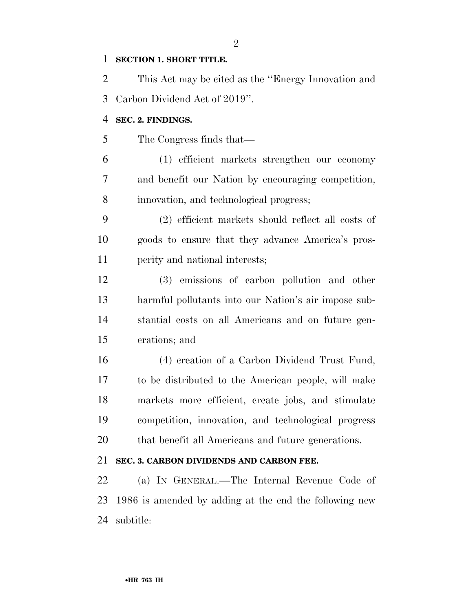#### **SECTION 1. SHORT TITLE.**

 This Act may be cited as the ''Energy Innovation and Carbon Dividend Act of 2019''.

#### **SEC. 2. FINDINGS.**

The Congress finds that—

 (1) efficient markets strengthen our economy and benefit our Nation by encouraging competition, innovation, and technological progress;

 (2) efficient markets should reflect all costs of goods to ensure that they advance America's pros-perity and national interests;

 (3) emissions of carbon pollution and other harmful pollutants into our Nation's air impose sub- stantial costs on all Americans and on future gen-erations; and

 (4) creation of a Carbon Dividend Trust Fund, to be distributed to the American people, will make markets more efficient, create jobs, and stimulate competition, innovation, and technological progress that benefit all Americans and future generations.

#### **SEC. 3. CARBON DIVIDENDS AND CARBON FEE.**

 (a) IN GENERAL.—The Internal Revenue Code of 1986 is amended by adding at the end the following new subtitle:

#### $\mathfrak{D}$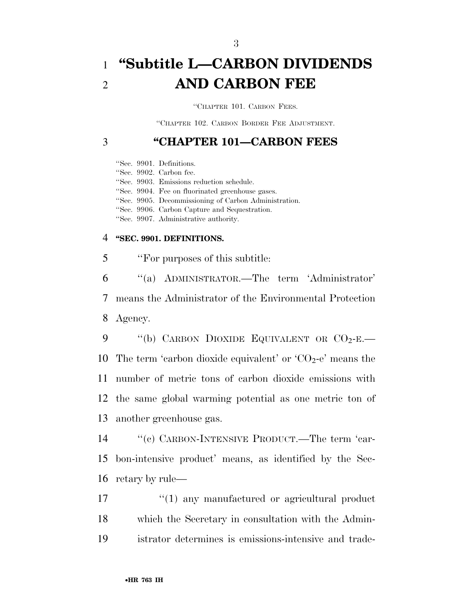# 1 **''Subtitle L—CARBON DIVIDENDS**  2 **AND CARBON FEE**

''CHAPTER 101. CARBON FEES.

''CHAPTER 102. CARBON BORDER FEE ADJUSTMENT.

## 3 **''CHAPTER 101—CARBON FEES**

''Sec. 9901. Definitions.

''Sec. 9902. Carbon fee.

''Sec. 9903. Emissions reduction schedule.

''Sec. 9904. Fee on fluorinated greenhouse gases.

''Sec. 9905. Decommissioning of Carbon Administration.

''Sec. 9906. Carbon Capture and Sequestration.

''Sec. 9907. Administrative authority.

#### 4 **''SEC. 9901. DEFINITIONS.**

5 ''For purposes of this subtitle:

6 ''(a) ADMINISTRATOR.—The term 'Administrator' 7 means the Administrator of the Environmental Protection 8 Agency.

 $\cdot$  "(b) CARBON DIOXIDE EQUIVALENT OR  $CO_2$ -E. 10 The term 'carbon dioxide equivalent' or ' $CO<sub>2</sub>$ -e' means the number of metric tons of carbon dioxide emissions with the same global warming potential as one metric ton of another greenhouse gas.

14 ''(c) CARBON-INTENSIVE PRODUCT.—The term 'car-15 bon-intensive product' means, as identified by the Sec-16 retary by rule—

17  $\frac{1}{2}$  (1) any manufactured or agricultural product 18 which the Secretary in consultation with the Admin-19 istrator determines is emissions-intensive and trade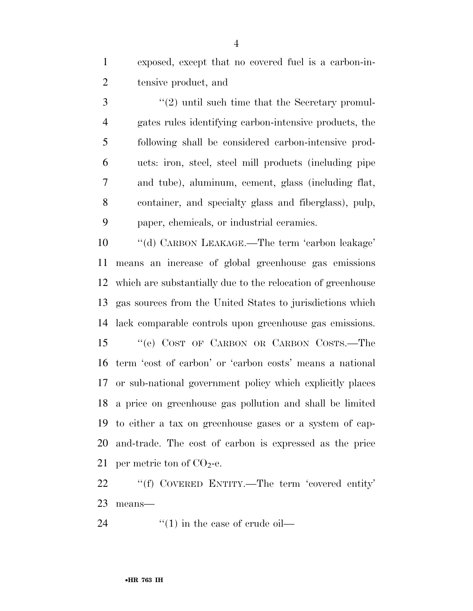exposed, except that no covered fuel is a carbon-in-tensive product, and

3 ''(2) until such time that the Secretary promul- gates rules identifying carbon-intensive products, the following shall be considered carbon-intensive prod- ucts: iron, steel, steel mill products (including pipe and tube), aluminum, cement, glass (including flat, container, and specialty glass and fiberglass), pulp, paper, chemicals, or industrial ceramics.

 ''(d) CARBON LEAKAGE.—The term 'carbon leakage' means an increase of global greenhouse gas emissions which are substantially due to the relocation of greenhouse gas sources from the United States to jurisdictions which lack comparable controls upon greenhouse gas emissions. ''(e) COST OF CARBON OR CARBON COSTS.—The term 'cost of carbon' or 'carbon costs' means a national or sub-national government policy which explicitly places a price on greenhouse gas pollution and shall be limited to either a tax on greenhouse gases or a system of cap- and-trade. The cost of carbon is expressed as the price 21 per metric ton of  $CO<sub>2</sub>$ -e.

 ''(f) COVERED ENTITY.—The term 'covered entity' means—

24  $\frac{1}{2}$   $\frac{1}{2}$  in the case of crude oil—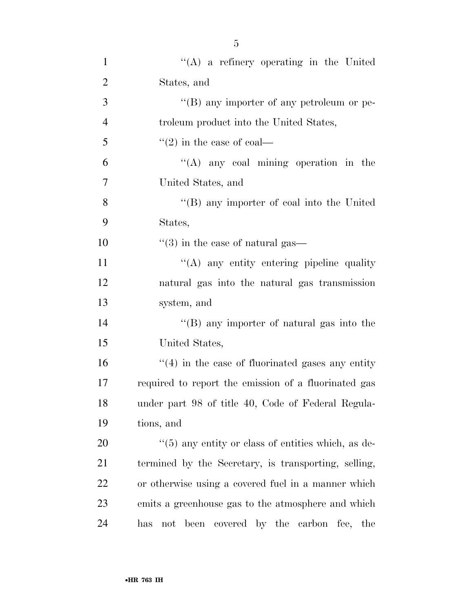| $\mathbf{1}$   | $\lq\lq$ a refinery operating in the United                    |
|----------------|----------------------------------------------------------------|
| $\overline{2}$ | States, and                                                    |
| 3              | "(B) any importer of any petroleum or pe-                      |
| $\overline{4}$ | troleum product into the United States,                        |
| 5              | $\cdot\cdot(2)$ in the case of coal—                           |
| 6              | $\lq\lq$ any coal mining operation in the                      |
| 7              | United States, and                                             |
| 8              | $\lq\lq (B)$ any importer of coal into the United              |
| 9              | States,                                                        |
| 10             | $\cdot\cdot$ (3) in the case of natural gas—                   |
| 11             | "(A) any entity entering pipeline quality                      |
| 12             | natural gas into the natural gas transmission                  |
| 13             | system, and                                                    |
| 14             | "(B) any importer of natural gas into the                      |
| 15             | United States,                                                 |
| 16             | $f''(4)$ in the case of fluorinated gases any entity           |
| 17             | required to report the emission of a fluorinated gas           |
| 18             | under part 98 of title 40, Code of Federal Regula-             |
| 19             | tions, and                                                     |
| 20             | $\cdot\cdot$ (5) any entity or class of entities which, as de- |
| 21             | termined by the Secretary, is transporting, selling,           |
| 22             | or otherwise using a covered fuel in a manner which            |
| 23             | emits a greenhouse gas to the atmosphere and which             |
| 24             | not been covered by the carbon fee, the<br>has                 |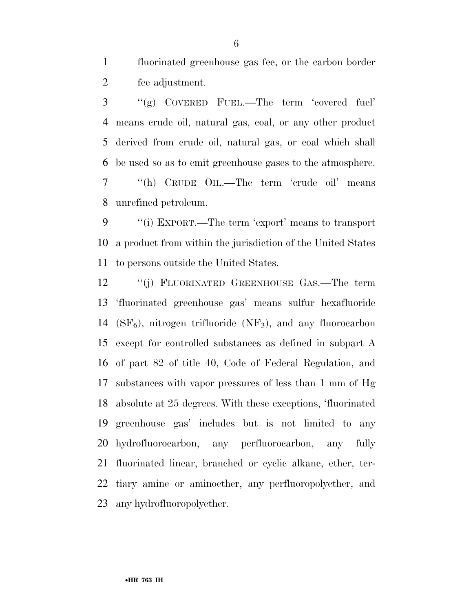fluorinated greenhouse gas fee, or the carbon border fee adjustment.

 ''(g) COVERED FUEL.—The term 'covered fuel' means crude oil, natural gas, coal, or any other product derived from crude oil, natural gas, or coal which shall be used so as to emit greenhouse gases to the atmosphere. ''(h) CRUDE OIL.—The term 'crude oil' means unrefined petroleum.

 ''(i) EXPORT.—The term 'export' means to transport a product from within the jurisdiction of the United States to persons outside the United States.

 ''(j) FLUORINATED GREENHOUSE GAS.—The term 'fluorinated greenhouse gas' means sulfur hexafluoride 14 ( $SF<sub>6</sub>$ ), nitrogen trifluoride (NF<sub>3</sub>), and any fluorocarbon except for controlled substances as defined in subpart A of part 82 of title 40, Code of Federal Regulation, and substances with vapor pressures of less than 1 mm of Hg absolute at 25 degrees. With these exceptions, 'fluorinated greenhouse gas' includes but is not limited to any hydrofluorocarbon, any perfluorocarbon, any fully fluorinated linear, branched or cyclic alkane, ether, ter- tiary amine or aminoether, any perfluoropolyether, and any hydrofluoropolyether.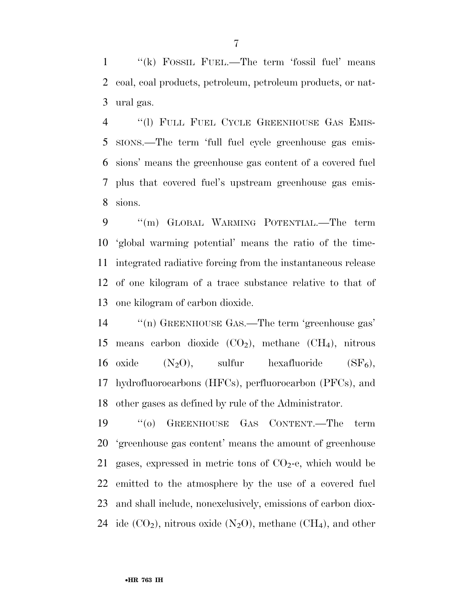''(k) FOSSIL FUEL.—The term 'fossil fuel' means coal, coal products, petroleum, petroleum products, or nat-ural gas.

4 "(1) FULL FUEL CYCLE GREENHOUSE GAS EMIS- SIONS.—The term 'full fuel cycle greenhouse gas emis- sions' means the greenhouse gas content of a covered fuel plus that covered fuel's upstream greenhouse gas emis-sions.

 ''(m) GLOBAL WARMING POTENTIAL.—The term 'global warming potential' means the ratio of the time- integrated radiative forcing from the instantaneous release of one kilogram of a trace substance relative to that of one kilogram of carbon dioxide.

14  $\qquad$  "(n) GREENHOUSE GAS.—The term 'greenhouse gas' 15 means carbon dioxide  $(CO_2)$ , methane  $(CH_4)$ , nitrous 16 oxide  $(N_2O)$ , sulfur hexafluoride  $(SF_6)$ , hydrofluorocarbons (HFCs), perfluorocarbon (PFCs), and other gases as defined by rule of the Administrator.

 ''(o) GREENHOUSE GAS CONTENT.—The term 'greenhouse gas content' means the amount of greenhouse 21 gases, expressed in metric tons of  $CO<sub>2</sub>$ -e, which would be emitted to the atmosphere by the use of a covered fuel and shall include, nonexclusively, emissions of carbon diox-24 ide  $(CO_2)$ , nitrous oxide  $(N_2O)$ , methane  $(CH_4)$ , and other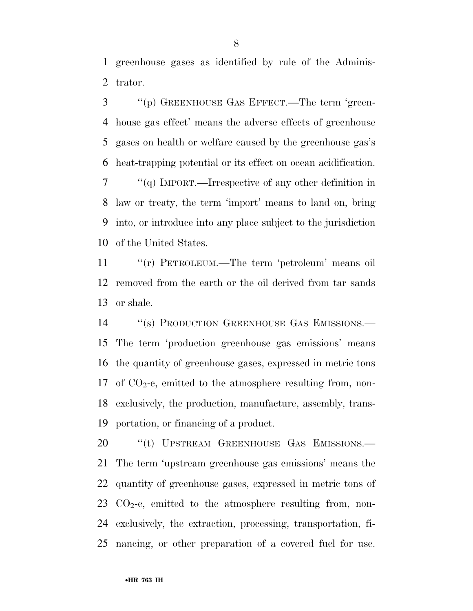greenhouse gases as identified by rule of the Adminis-trator.

 ''(p) GREENHOUSE GAS EFFECT.—The term 'green- house gas effect' means the adverse effects of greenhouse gases on health or welfare caused by the greenhouse gas's heat-trapping potential or its effect on ocean acidification. ''(q) IMPORT.—Irrespective of any other definition in

 law or treaty, the term 'import' means to land on, bring into, or introduce into any place subject to the jurisdiction of the United States.

 ''(r) PETROLEUM.—The term 'petroleum' means oil removed from the earth or the oil derived from tar sands or shale.

14 "(s) PRODUCTION GREENHOUSE GAS EMISSIONS.— The term 'production greenhouse gas emissions' means the quantity of greenhouse gases, expressed in metric tons 17 of  $CO<sub>2</sub>$ -e, emitted to the atmosphere resulting from, non- exclusively, the production, manufacture, assembly, trans-portation, or financing of a product.

20 "(t) UPSTREAM GREENHOUSE GAS EMISSIONS.— The term 'upstream greenhouse gas emissions' means the quantity of greenhouse gases, expressed in metric tons of  $CO<sub>2</sub>$ -e, emitted to the atmosphere resulting from, non- exclusively, the extraction, processing, transportation, fi-nancing, or other preparation of a covered fuel for use.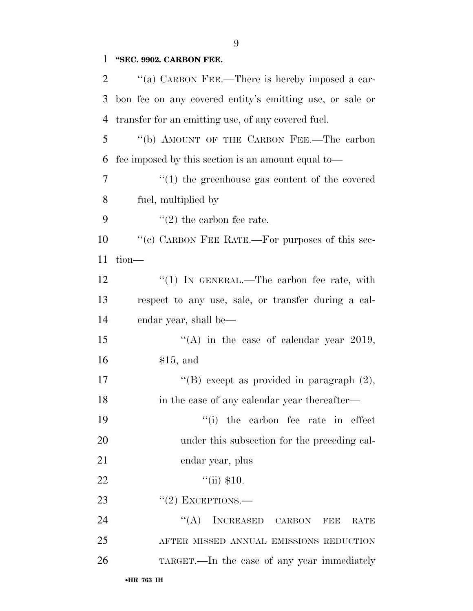## **''SEC. 9902. CARBON FEE.**

| $\overline{2}$ | "(a) CARBON FEE.—There is hereby imposed a car-          |
|----------------|----------------------------------------------------------|
| 3              | bon fee on any covered entity's emitting use, or sale or |
| $\overline{4}$ | transfer for an emitting use, of any covered fuel.       |
| 5              | "(b) AMOUNT OF THE CARBON FEE.—The carbon                |
| 6              | fee imposed by this section is an amount equal to—       |
| $\tau$         | $\cdot$ (1) the greenhouse gas content of the covered    |
| 8              | fuel, multiplied by                                      |
| 9              | $(2)$ the carbon fee rate.                               |
| 10             | "(c) CARBON FEE RATE.—For purposes of this sec-          |
| 11             | tion-                                                    |
| 12             | " $(1)$ IN GENERAL.—The carbon fee rate, with            |
| 13             | respect to any use, sale, or transfer during a cal-      |
| 14             | endar year, shall be—                                    |
| 15             | "(A) in the case of calendar year 2019,                  |
| 16             | \$15, and                                                |
| 17             | "(B) except as provided in paragraph $(2)$ ,             |
| 18             | in the case of any calendar year thereafter—             |
| 19             | "(i) the carbon fee rate in effect                       |
| 20             | under this subsection for the preceding cal-             |
| 21             | endar year, plus                                         |
| 22             | ``(ii) \$10.                                             |
| 23             | $``(2)$ EXCEPTIONS.—                                     |
| 24             | $\lq\lq (A)$<br>INCREASED CARBON<br>FEE<br>RATE          |
| 25             | AFTER MISSED ANNUAL EMISSIONS REDUCTION                  |
| 26             | TARGET.—In the case of any year immediately              |
|                |                                                          |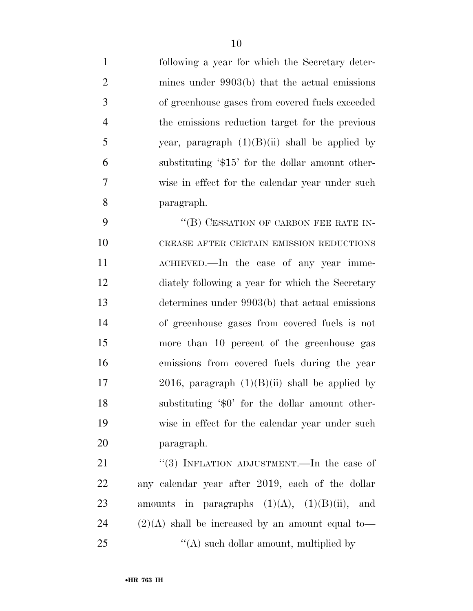following a year for which the Secretary deter- mines under 9903(b) that the actual emissions of greenhouse gases from covered fuels exceeded the emissions reduction target for the previous 5 year, paragraph  $(1)(B)(ii)$  shall be applied by substituting '\$15' for the dollar amount other- wise in effect for the calendar year under such paragraph. 9 "(B) CESSATION OF CARBON FEE RATE IN- CREASE AFTER CERTAIN EMISSION REDUCTIONS ACHIEVED.—In the case of any year imme- diately following a year for which the Secretary determines under 9903(b) that actual emissions of greenhouse gases from covered fuels is not more than 10 percent of the greenhouse gas emissions from covered fuels during the year 17 2016, paragraph  $(1)(B)(ii)$  shall be applied by substituting '\$0' for the dollar amount other- wise in effect for the calendar year under such paragraph. 21 "(3) INFLATION ADJUSTMENT.—In the case of any calendar year after 2019, each of the dollar

23 amounts in paragraphs  $(1)(A)$ ,  $(1)(B)(ii)$ , and 24  $(2)(A)$  shall be increased by an amount equal to— ''(A) such dollar amount, multiplied by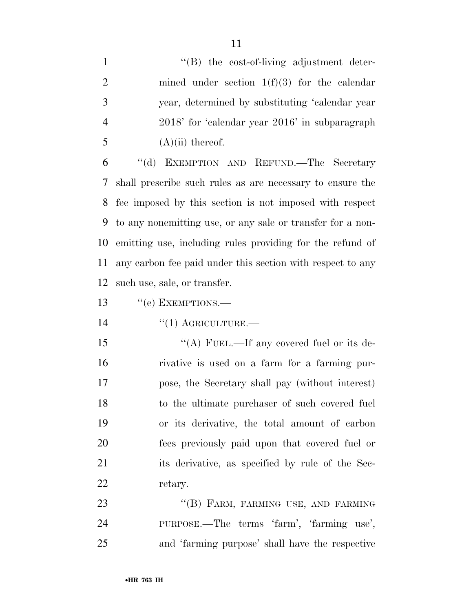1 ''(B) the cost-of-living adjustment deter- mined under section 1(f)(3) for the calendar year, determined by substituting 'calendar year 2018' for 'calendar year 2016' in subparagraph  $(A)(ii)$  thereof.

 ''(d) EXEMPTION AND REFUND.—The Secretary shall prescribe such rules as are necessary to ensure the fee imposed by this section is not imposed with respect to any nonemitting use, or any sale or transfer for a non- emitting use, including rules providing for the refund of any carbon fee paid under this section with respect to any such use, sale, or transfer.

13 "(e) EXEMPTIONS.—

14 "(1) AGRICULTURE.

15 "(A) FUEL.—If any covered fuel or its de- rivative is used on a farm for a farming pur- pose, the Secretary shall pay (without interest) to the ultimate purchaser of such covered fuel or its derivative, the total amount of carbon fees previously paid upon that covered fuel or its derivative, as specified by rule of the Sec-22 retary.

23 "(B) FARM, FARMING USE, AND FARMING PURPOSE.—The terms 'farm', 'farming use', and 'farming purpose' shall have the respective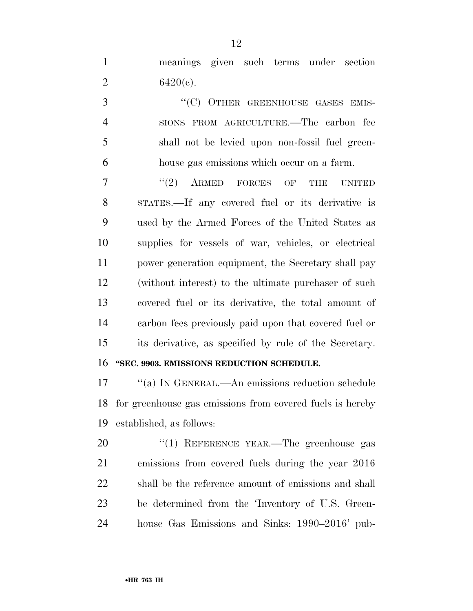meanings given such terms under section 2  $6420(c)$ .

3 "
(C) OTHER GREENHOUSE GASES EMIS- SIONS FROM AGRICULTURE.—The carbon fee shall not be levied upon non-fossil fuel green-house gas emissions which occur on a farm.

7 "(2) ARMED FORCES OF THE UNITED STATES.—If any covered fuel or its derivative is used by the Armed Forces of the United States as supplies for vessels of war, vehicles, or electrical power generation equipment, the Secretary shall pay (without interest) to the ultimate purchaser of such covered fuel or its derivative, the total amount of carbon fees previously paid upon that covered fuel or its derivative, as specified by rule of the Secretary. **''SEC. 9903. EMISSIONS REDUCTION SCHEDULE.** 

 ''(a) IN GENERAL.—An emissions reduction schedule for greenhouse gas emissions from covered fuels is hereby established, as follows:

20 "(1) REFERENCE YEAR.—The greenhouse gas emissions from covered fuels during the year 2016 shall be the reference amount of emissions and shall be determined from the 'Inventory of U.S. Green-house Gas Emissions and Sinks: 1990–2016' pub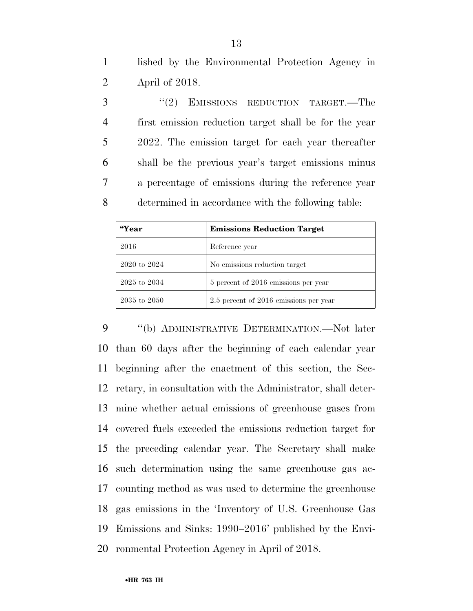lished by the Environmental Protection Agency in April of 2018.

3 "(2) EMISSIONS REDUCTION TARGET.—The first emission reduction target shall be for the year 2022. The emission target for each year thereafter shall be the previous year's target emissions minus a percentage of emissions during the reference year determined in accordance with the following table:

| <i>"</i> Year    | <b>Emissions Reduction Target</b>      |
|------------------|----------------------------------------|
| 2016             | Reference year                         |
| 2020 to 2024     | No emissions reduction target          |
| $2025$ to $2034$ | 5 percent of 2016 emissions per year   |
| 2035 to 2050     | 2.5 percent of 2016 emissions per year |

9 "(b) ADMINISTRATIVE DETERMINATION.—Not later than 60 days after the beginning of each calendar year beginning after the enactment of this section, the Sec- retary, in consultation with the Administrator, shall deter- mine whether actual emissions of greenhouse gases from covered fuels exceeded the emissions reduction target for the preceding calendar year. The Secretary shall make such determination using the same greenhouse gas ac- counting method as was used to determine the greenhouse gas emissions in the 'Inventory of U.S. Greenhouse Gas Emissions and Sinks: 1990–2016' published by the Envi-ronmental Protection Agency in April of 2018.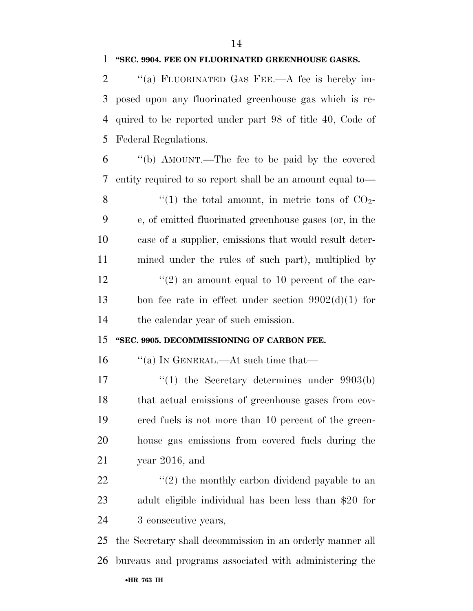#### **''SEC. 9904. FEE ON FLUORINATED GREENHOUSE GASES.**

 ''(a) FLUORINATED GAS FEE.—A fee is hereby im- posed upon any fluorinated greenhouse gas which is re- quired to be reported under part 98 of title 40, Code of Federal Regulations.

 ''(b) AMOUNT.—The fee to be paid by the covered entity required to so report shall be an amount equal to—  $\frac{1}{2}$  (1) the total amount, in metric tons of CO<sub>2</sub>- e, of emitted fluorinated greenhouse gases (or, in the case of a supplier, emissions that would result deter- mined under the rules of such part), multiplied by  $\frac{12}{2}$  ''(2) an amount equal to 10 percent of the car- bon fee rate in effect under section 9902(d)(1) for the calendar year of such emission.

#### **''SEC. 9905. DECOMMISSIONING OF CARBON FEE.**

16 "(a) In GENERAL.—At such time that—

17 '(1) the Secretary determines under 9903(b) that actual emissions of greenhouse gases from cov- ered fuels is not more than 10 percent of the green- house gas emissions from covered fuels during the year 2016, and

22  $\langle \langle 2 \rangle$  the monthly carbon dividend payable to an adult eligible individual has been less than \$20 for 3 consecutive years,

•**HR 763 IH** the Secretary shall decommission in an orderly manner all bureaus and programs associated with administering the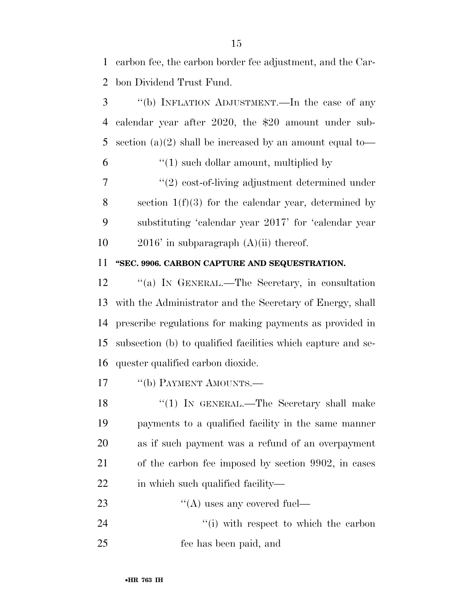1 carbon fee, the carbon border fee adjustment, and the Car-2 bon Dividend Trust Fund.

 ''(b) INFLATION ADJUSTMENT.—In the case of any calendar year after 2020, the \$20 amount under sub- section (a)(2) shall be increased by an amount equal to—  $\frac{6}{1}$  (1) such dollar amount, multiplied by

7 ''(2) cost-of-living adjustment determined under 8 section  $1(f)(3)$  for the calendar year, determined by 9 substituting 'calendar year 2017' for 'calendar year 10  $2016'$  in subparagraph  $(A)(ii)$  thereof.

### 11 **''SEC. 9906. CARBON CAPTURE AND SEQUESTRATION.**

12 "(a) IN GENERAL.—The Secretary, in consultation with the Administrator and the Secretary of Energy, shall prescribe regulations for making payments as provided in subsection (b) to qualified facilities which capture and se-quester qualified carbon dioxide.

17 <sup>"</sup>(b) PAYMENT AMOUNTS.—

18 "(1) In GENERAL.—The Secretary shall make 19 payments to a qualified facility in the same manner 20 as if such payment was a refund of an overpayment 21 of the carbon fee imposed by section 9902, in cases 22 in which such qualified facility—

23  $\text{``(A)}$  uses any covered fuel— 24 ''(i) with respect to which the carbon 25 fee has been paid, and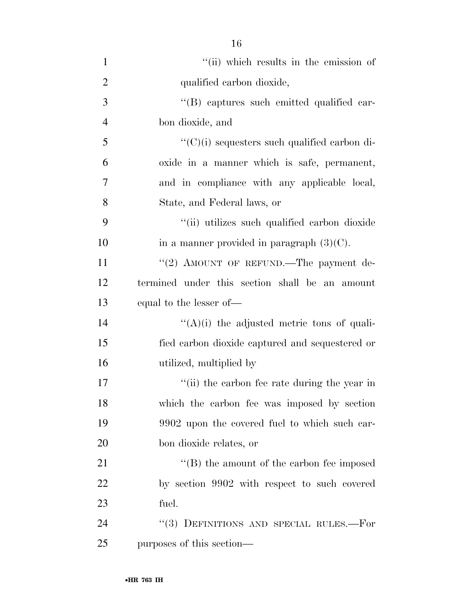| $\mathbf{1}$   | "(ii) which results in the emission of               |
|----------------|------------------------------------------------------|
| $\overline{2}$ | qualified carbon dioxide,                            |
| 3              | "(B) captures such emitted qualified car-            |
| $\overline{4}$ | bon dioxide, and                                     |
| 5              | $\lq\lq$ (C)(i) sequesters such qualified carbon di- |
| 6              | oxide in a manner which is safe, permanent,          |
| 7              | and in compliance with any applicable local,         |
| 8              | State, and Federal laws, or                          |
| 9              | "(ii) utilizes such qualified carbon dioxide         |
| 10             | in a manner provided in paragraph $(3)(C)$ .         |
| 11             | "(2) AMOUNT OF REFUND.—The payment de-               |
| 12             | termined under this section shall be an amount       |
| 13             | equal to the lesser of—                              |
| 14             | $\lq\lq(A)(i)$ the adjusted metric tons of quali-    |
| 15             | fied carbon dioxide captured and sequestered or      |
| 16             | utilized, multiplied by                              |
| 17             | "(ii) the carbon fee rate during the year in         |
| 18             | which the carbon fee was imposed by section          |
| 19             | 9902 upon the covered fuel to which such car-        |
| 20             | bon dioxide relates, or                              |
| 21             | $\lq\lq$ the amount of the carbon fee imposed        |
| 22             | by section 9902 with respect to such covered         |
| 23             | fuel.                                                |
| 24             | "(3) DEFINITIONS AND SPECIAL RULES.-For              |
| 25             | purposes of this section—                            |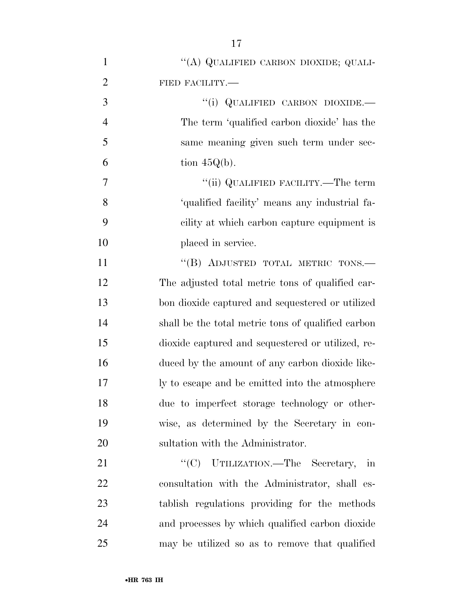| $\mathbf{1}$   | "(A) QUALIFIED CARBON DIOXIDE; QUALI-              |
|----------------|----------------------------------------------------|
| $\overline{2}$ | FIED FACILITY.-                                    |
| 3              | "(i) QUALIFIED CARBON DIOXIDE.-                    |
| $\overline{4}$ | The term 'qualified carbon dioxide' has the        |
| 5              | same meaning given such term under sec-            |
| 6              | tion $45Q(b)$ .                                    |
| 7              | "(ii) QUALIFIED FACILITY.—The term                 |
| 8              | 'qualified facility' means any industrial fa-      |
| 9              | cility at which carbon capture equipment is        |
| 10             | placed in service.                                 |
| 11             | "(B) ADJUSTED TOTAL METRIC TONS.-                  |
| 12             | The adjusted total metric tons of qualified car-   |
| 13             | bon dioxide captured and sequestered or utilized   |
| 14             | shall be the total metric tons of qualified carbon |
| 15             | dioxide captured and sequestered or utilized, re-  |
| 16             | duced by the amount of any carbon dioxide like-    |
| 17             | ly to escape and be emitted into the atmosphere    |
| 18             | due to imperfect storage technology or other-      |
| 19             | wise, as determined by the Secretary in con-       |
| 20             | sultation with the Administrator.                  |
| 21             | "(C) UTILIZATION.—The Secretary, in                |
| 22             | consultation with the Administrator, shall es-     |
| 23             | tablish regulations providing for the methods      |
| 24             | and processes by which qualified carbon dioxide    |
| 25             | may be utilized so as to remove that qualified     |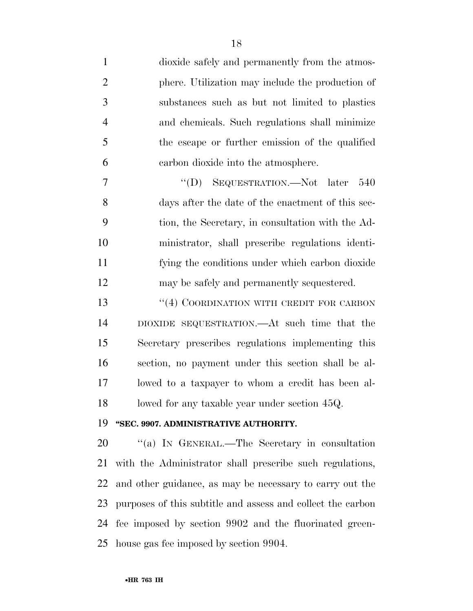dioxide safely and permanently from the atmos- phere. Utilization may include the production of substances such as but not limited to plastics and chemicals. Such regulations shall minimize the escape or further emission of the qualified carbon dioxide into the atmosphere.

 ''(D) SEQUESTRATION.—Not later 540 days after the date of the enactment of this sec- tion, the Secretary, in consultation with the Ad- ministrator, shall prescribe regulations identi- fying the conditions under which carbon dioxide may be safely and permanently sequestered.

13 "(4) COORDINATION WITH CREDIT FOR CARBON DIOXIDE SEQUESTRATION.—At such time that the Secretary prescribes regulations implementing this section, no payment under this section shall be al- lowed to a taxpayer to whom a credit has been al-18 lowed for any taxable year under section 45Q.

#### **''SEC. 9907. ADMINISTRATIVE AUTHORITY.**

 ''(a) IN GENERAL.—The Secretary in consultation with the Administrator shall prescribe such regulations, and other guidance, as may be necessary to carry out the purposes of this subtitle and assess and collect the carbon fee imposed by section 9902 and the fluorinated green-house gas fee imposed by section 9904.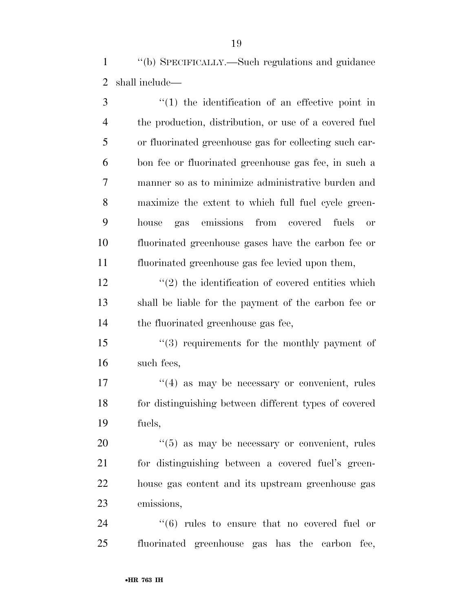''(b) SPECIFICALLY.—Such regulations and guidance shall include—

3 (1) the identification of an effective point in the production, distribution, or use of a covered fuel or fluorinated greenhouse gas for collecting such car- bon fee or fluorinated greenhouse gas fee, in such a manner so as to minimize administrative burden and maximize the extent to which full fuel cycle green- house gas emissions from covered fuels or fluorinated greenhouse gases have the carbon fee or fluorinated greenhouse gas fee levied upon them,

 $\binom{12}{2}$  the identification of covered entities which shall be liable for the payment of the carbon fee or the fluorinated greenhouse gas fee,

15 ''(3) requirements for the monthly payment of such fees,

17 ''(4) as may be necessary or convenient, rules for distinguishing between different types of covered fuels,

 $(5)$  as may be necessary or convenient, rules for distinguishing between a covered fuel's green- house gas content and its upstream greenhouse gas emissions,

24  $(6)$  rules to ensure that no covered fuel or fluorinated greenhouse gas has the carbon fee,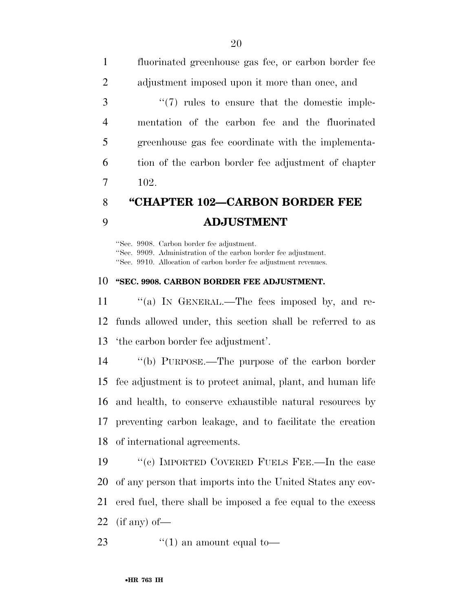| $\mathbf{1}$   | fluorinated greenhouse gas fee, or carbon border fee          |
|----------------|---------------------------------------------------------------|
| 2              | adjustment imposed upon it more than once, and                |
| 3              | $\cdot\cdot\cdot(7)$ rules to ensure that the domestic imple- |
| $\overline{4}$ | mentation of the carbon fee and the fluorinated               |
| 5              | greenhouse gas fee coordinate with the implementa-            |
| 6              | tion of the carbon border fee adjustment of chapter           |
| 7              | 102.                                                          |
|                |                                                               |

## **''CHAPTER 102—CARBON BORDER FEE ADJUSTMENT**

''Sec. 9908. Carbon border fee adjustment. ''Sec. 9909. Administration of the carbon border fee adjustment. ''Sec. 9910. Allocation of carbon border fee adjustment revenues.

#### **''SEC. 9908. CARBON BORDER FEE ADJUSTMENT.**

11 "(a) IN GENERAL.—The fees imposed by, and re- funds allowed under, this section shall be referred to as 'the carbon border fee adjustment'.

 ''(b) PURPOSE.—The purpose of the carbon border fee adjustment is to protect animal, plant, and human life and health, to conserve exhaustible natural resources by preventing carbon leakage, and to facilitate the creation of international agreements.

 ''(c) IMPORTED COVERED FUELS FEE.—In the case of any person that imports into the United States any cov- ered fuel, there shall be imposed a fee equal to the excess 22 (if any) of  $-$ 

23  $\frac{1}{2}$   $(1)$  an amount equal to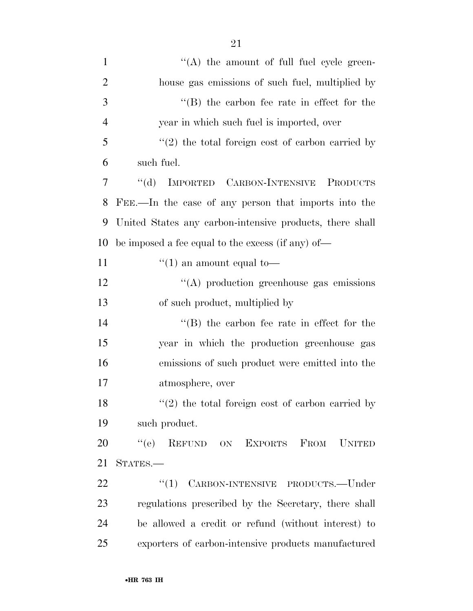| $\mathbf{1}$   | $\lq\lq$ the amount of full fuel cycle green-            |
|----------------|----------------------------------------------------------|
| $\overline{2}$ | house gas emissions of such fuel, multiplied by          |
| 3              | $\lq\lq$ the carbon fee rate in effect for the           |
| $\overline{4}$ | year in which such fuel is imported, over                |
| 5              | $(2)$ the total foreign cost of carbon carried by        |
| 6              | such fuel.                                               |
| 7              | "(d) IMPORTED CARBON-INTENSIVE PRODUCTS                  |
| 8              | FEE.—In the case of any person that imports into the     |
| 9              | United States any carbon-intensive products, there shall |
| 10             | be imposed a fee equal to the excess (if any) of—        |
| 11             | $\lq(1)$ an amount equal to-                             |
| 12             | $\lq\lq$ production greenhouse gas emissions             |
| 13             | of such product, multiplied by                           |
| 14             | $\lq\lq$ the carbon fee rate in effect for the           |
| 15             | year in which the production greenhouse gas              |
| 16             | emissions of such product were emitted into the          |
| 17             | atmosphere, over                                         |
| 18             | $"(2)$ the total foreign cost of carbon carried by       |
| 19             | such product.                                            |
| 20             | REFUND ON EXPORTS FROM UNITED<br>``(e)                   |
| 21             | STATES.-                                                 |
| 22             | $``(1)$ CARBON-INTENSIVE PRODUCTS.—Under                 |
| 23             | regulations prescribed by the Secretary, there shall     |
| 24             | be allowed a credit or refund (without interest) to      |
| 25             | exporters of carbon-intensive products manufactured      |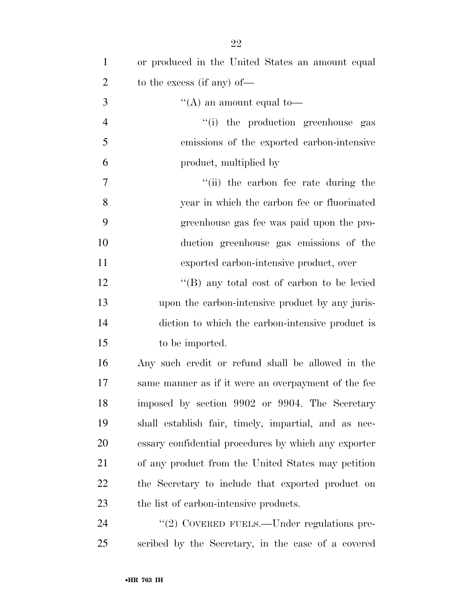| $\mathbf{1}$   | or produced in the United States an amount equal     |
|----------------|------------------------------------------------------|
| $\overline{2}$ | to the excess (if any) of—                           |
| 3              | "(A) an amount equal to-                             |
| $\overline{4}$ | "(i) the production greenhouse gas                   |
| 5              | emissions of the exported carbon-intensive           |
| 6              | product, multiplied by                               |
| 7              | "(ii) the carbon fee rate during the                 |
| 8              | year in which the carbon fee or fluorinated          |
| 9              | greenhouse gas fee was paid upon the pro-            |
| 10             | duction greenhouse gas emissions of the              |
| 11             | exported carbon-intensive product, over              |
| 12             | "(B) any total cost of carbon to be levied           |
| 13             | upon the carbon-intensive product by any juris-      |
| 14             | diction to which the carbon-intensive product is     |
| 15             | to be imported.                                      |
| 16             | Any such credit or refund shall be allowed in the    |
| 17             | same manner as if it were an overpayment of the fee  |
| 18             | imposed by section 9902 or 9904. The Secretary       |
| 19             | shall establish fair, timely, impartial, and as nec- |
| 20             | essary confidential procedures by which any exporter |
| 21             | of any product from the United States may petition   |
| 22             | the Secretary to include that exported product on    |
| 23             | the list of carbon-intensive products.               |
| 24             | "(2) COVERED FUELS.—Under regulations pre-           |
| 25             | scribed by the Secretary, in the case of a covered   |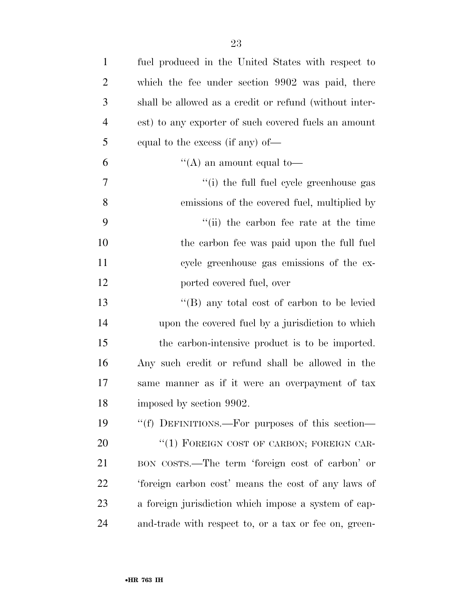| $\mathbf{1}$   | fuel produced in the United States with respect to     |
|----------------|--------------------------------------------------------|
| $\overline{2}$ | which the fee under section 9902 was paid, there       |
| 3              | shall be allowed as a credit or refund (without inter- |
| $\overline{4}$ | est) to any exporter of such covered fuels an amount   |
| 5              | equal to the excess (if any) of—                       |
| 6              | "(A) an amount equal to-                               |
| $\overline{7}$ | "(i) the full fuel cycle greenhouse gas                |
| 8              | emissions of the covered fuel, multiplied by           |
| 9              | "(ii) the carbon fee rate at the time"                 |
| 10             | the carbon fee was paid upon the full fuel             |
| 11             | cycle greenhouse gas emissions of the ex-              |
| 12             | ported covered fuel, over                              |
| 13             | $\lq\lq$ (B) any total cost of carbon to be levied     |
| 14             | upon the covered fuel by a jurisdiction to which       |
| 15             | the carbon-intensive product is to be imported.        |
| 16             | Any such credit or refund shall be allowed in the      |
| 17             | same manner as if it were an overpayment of tax        |
| 18             | imposed by section 9902.                               |
| 19             | "(f) DEFINITIONS.—For purposes of this section—        |
| 20             | "(1) FOREIGN COST OF CARBON; FOREIGN CAR-              |
| 21             | BON COSTS.—The term 'foreign cost of carbon' or        |
| 22             | 'foreign carbon cost' means the cost of any laws of    |
| 23             | a foreign jurisdiction which impose a system of cap-   |
| 24             | and-trade with respect to, or a tax or fee on, green-  |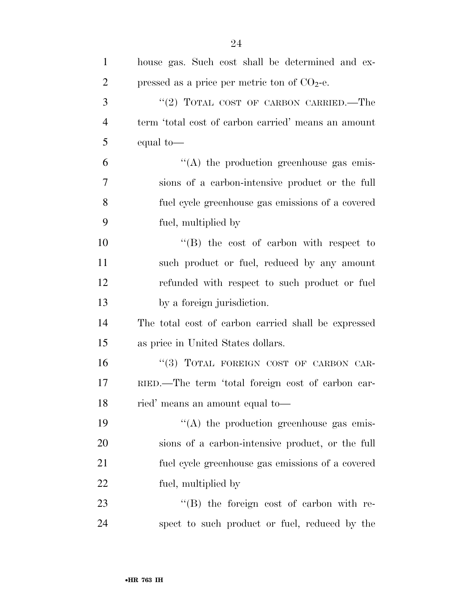| $\mathbf{1}$   | house gas. Such cost shall be determined and ex-    |
|----------------|-----------------------------------------------------|
| $\overline{2}$ | pressed as a price per metric ton of $CO2$ -e.      |
| 3              | "(2) TOTAL COST OF CARBON CARRIED.—The              |
| $\overline{4}$ | term 'total cost of carbon carried' means an amount |
| 5              | equal to-                                           |
| 6              | $\lq\lq$ the production greenhouse gas emis-        |
| 7              | sions of a carbon-intensive product or the full     |
| 8              | fuel cycle greenhouse gas emissions of a covered    |
| 9              | fuel, multiplied by                                 |
| 10             | $\lq\lq$ the cost of carbon with respect to         |
| 11             | such product or fuel, reduced by any amount         |
| 12             | refunded with respect to such product or fuel       |
| 13             | by a foreign jurisdiction.                          |
| 14             | The total cost of carbon carried shall be expressed |
| 15             | as price in United States dollars.                  |
| 16             | "(3) TOTAL FOREIGN COST OF CARBON CAR-              |
| 17             | RIED.—The term 'total foreign cost of carbon car-   |
| 18             | ried' means an amount equal to-                     |
| 19             | $\lq\lq$ the production greenhouse gas emis-        |
| 20             | sions of a carbon-intensive product, or the full    |
| 21             | fuel cycle greenhouse gas emissions of a covered    |
| 22             | fuel, multiplied by                                 |
| 23             | $\lq\lq$ the foreign cost of carbon with re-        |
| 24             | spect to such product or fuel, reduced by the       |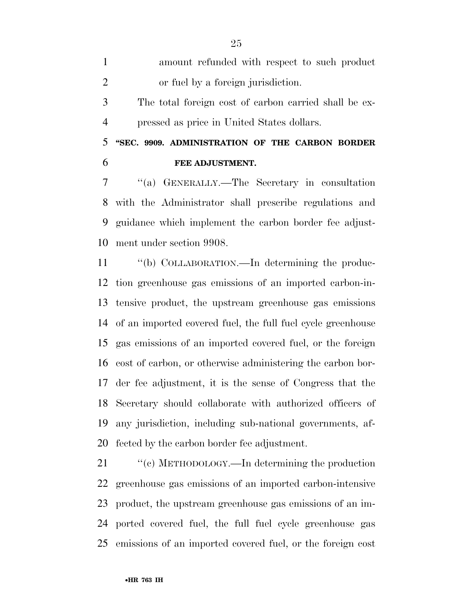| $\mathbf{1}$   | amount refunded with respect to such product             |
|----------------|----------------------------------------------------------|
| $\overline{2}$ | or fuel by a foreign jurisdiction.                       |
| 3              | The total foreign cost of carbon carried shall be ex-    |
| $\overline{4}$ | pressed as price in United States dollars.               |
| 5 <sup>1</sup> | "SEC. 9909. ADMINISTRATION OF THE CARBON BORDER          |
| 6              | FEE ADJUSTMENT.                                          |
| 7              | "(a) GENERALLY.—The Secretary in consultation            |
|                | 8 with the Administrator shall prescribe regulations and |
|                |                                                          |

 guidance which implement the carbon border fee adjust-ment under section 9908.

 ''(b) COLLABORATION.—In determining the produc- tion greenhouse gas emissions of an imported carbon-in- tensive product, the upstream greenhouse gas emissions of an imported covered fuel, the full fuel cycle greenhouse gas emissions of an imported covered fuel, or the foreign cost of carbon, or otherwise administering the carbon bor- der fee adjustment, it is the sense of Congress that the Secretary should collaborate with authorized officers of any jurisdiction, including sub-national governments, af-fected by the carbon border fee adjustment.

21 "(c) METHODOLOGY.—In determining the production greenhouse gas emissions of an imported carbon-intensive product, the upstream greenhouse gas emissions of an im- ported covered fuel, the full fuel cycle greenhouse gas emissions of an imported covered fuel, or the foreign cost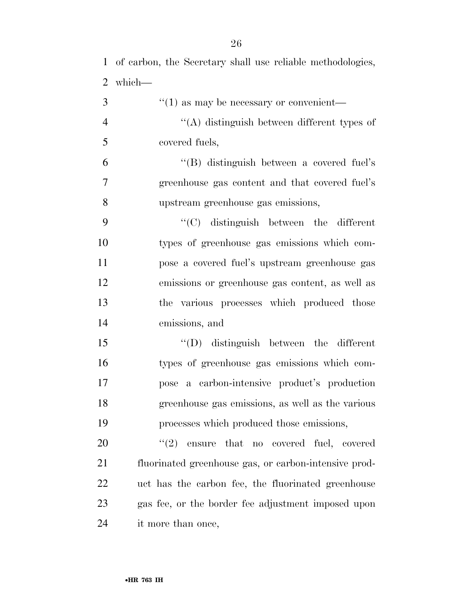of carbon, the Secretary shall use reliable methodologies, which— ''(1) as may be necessary or convenient— ''(A) distinguish between different types of covered fuels,

 ''(B) distinguish between a covered fuel's greenhouse gas content and that covered fuel's upstream greenhouse gas emissions,

 ''(C) distinguish between the different types of greenhouse gas emissions which com- pose a covered fuel's upstream greenhouse gas emissions or greenhouse gas content, as well as the various processes which produced those emissions, and

 ''(D) distinguish between the different types of greenhouse gas emissions which com- pose a carbon-intensive product's production greenhouse gas emissions, as well as the various processes which produced those emissions,

 $\frac{1}{2}$  ensure that no covered fuel, covered fluorinated greenhouse gas, or carbon-intensive prod- uct has the carbon fee, the fluorinated greenhouse gas fee, or the border fee adjustment imposed upon it more than once,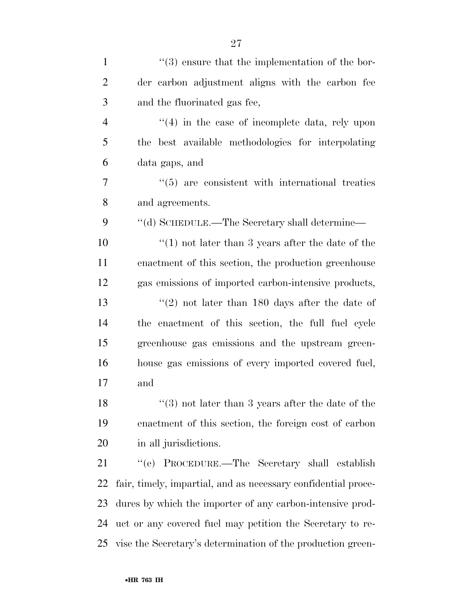| $\mathbf{1}$   | $\lq(3)$ ensure that the implementation of the bor-            |
|----------------|----------------------------------------------------------------|
| $\overline{2}$ | der carbon adjustment aligns with the carbon fee               |
| 3              | and the fluorinated gas fee,                                   |
| $\overline{4}$ | $\cdot$ (4) in the case of incomplete data, rely upon          |
| 5              | the best available methodologies for interpolating             |
| 6              | data gaps, and                                                 |
| $\overline{7}$ | $\cdot\cdot$ (5) are consistent with international treaties    |
| 8              | and agreements.                                                |
| 9              | "(d) SCHEDULE.—The Secretary shall determine—                  |
| 10             | $(1)$ not later than 3 years after the date of the             |
| 11             | enactment of this section, the production greenhouse           |
| 12             | gas emissions of imported carbon-intensive products,           |
| 13             | "(2) not later than $180$ days after the date of               |
| 14             | the enactment of this section, the full fuel cycle             |
| 15             | greenhouse gas emissions and the upstream green-               |
| 16             | house gas emissions of every imported covered fuel,            |
| 17             | and                                                            |
| 18             | $"(3)$ not later than 3 years after the date of the $"$        |
| 19             | enactment of this section, the foreign cost of carbon          |
| 20             | in all jurisdictions.                                          |
| 21             | "(e) PROCEDURE.—The Secretary shall establish                  |
| 22             | fair, timely, impartial, and as necessary confidential proce-  |
| 23             | dures by which the importer of any carbon-intensive prod-      |
| 24             | uct or any covered fuel may petition the Secretary to re-      |
|                | 25 vise the Secretary's determination of the production green- |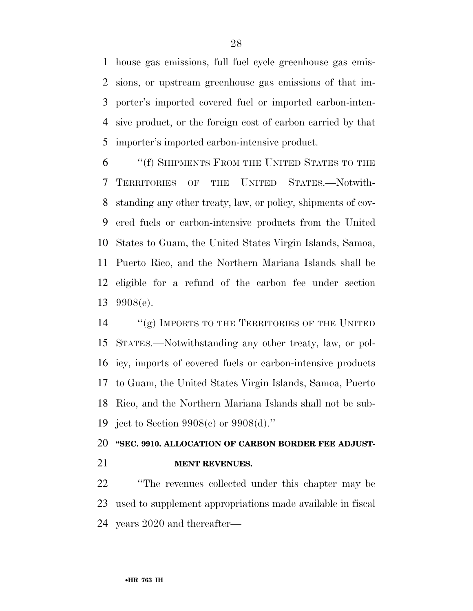house gas emissions, full fuel cycle greenhouse gas emis- sions, or upstream greenhouse gas emissions of that im- porter's imported covered fuel or imported carbon-inten- sive product, or the foreign cost of carbon carried by that importer's imported carbon-intensive product.

 ''(f) SHIPMENTS FROM THE UNITED STATES TO THE TERRITORIES OF THE UNITED STATES.—Notwith- standing any other treaty, law, or policy, shipments of cov- ered fuels or carbon-intensive products from the United States to Guam, the United States Virgin Islands, Samoa, Puerto Rico, and the Northern Mariana Islands shall be eligible for a refund of the carbon fee under section 9908(e).

 ''(g) IMPORTS TO THE TERRITORIES OF THE UNITED STATES.—Notwithstanding any other treaty, law, or pol- icy, imports of covered fuels or carbon-intensive products to Guam, the United States Virgin Islands, Samoa, Puerto Rico, and the Northern Mariana Islands shall not be sub-ject to Section 9908(c) or 9908(d).''

## **''SEC. 9910. ALLOCATION OF CARBON BORDER FEE ADJUST-MENT REVENUES.**

 ''The revenues collected under this chapter may be used to supplement appropriations made available in fiscal years 2020 and thereafter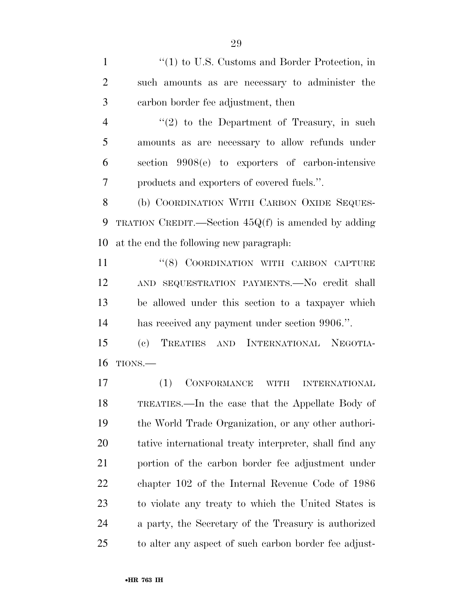1 ''(1) to U.S. Customs and Border Protection, in such amounts as are necessary to administer the carbon border fee adjustment, then

 $\frac{4}{2}$  ''(2) to the Department of Treasury, in such amounts as are necessary to allow refunds under section 9908(e) to exporters of carbon-intensive products and exporters of covered fuels.''.

 (b) COORDINATION WITH CARBON OXIDE SEQUES- TRATION CREDIT.—Section 45Q(f) is amended by adding at the end the following new paragraph:

11 "(8) COORDINATION WITH CARBON CAPTURE AND SEQUESTRATION PAYMENTS.—No credit shall be allowed under this section to a taxpayer which has received any payment under section 9906.''.

 (c) TREATIES AND INTERNATIONAL NEGOTIA-TIONS.—

 (1) CONFORMANCE WITH INTERNATIONAL TREATIES.—In the case that the Appellate Body of the World Trade Organization, or any other authori- tative international treaty interpreter, shall find any portion of the carbon border fee adjustment under chapter 102 of the Internal Revenue Code of 1986 to violate any treaty to which the United States is a party, the Secretary of the Treasury is authorized to alter any aspect of such carbon border fee adjust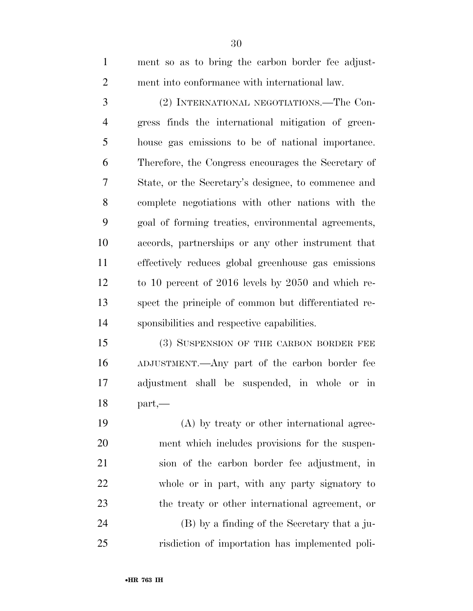ment so as to bring the carbon border fee adjust-ment into conformance with international law.

 (2) INTERNATIONAL NEGOTIATIONS.—The Con- gress finds the international mitigation of green- house gas emissions to be of national importance. Therefore, the Congress encourages the Secretary of State, or the Secretary's designee, to commence and complete negotiations with other nations with the goal of forming treaties, environmental agreements, accords, partnerships or any other instrument that effectively reduces global greenhouse gas emissions to 10 percent of 2016 levels by 2050 and which re- spect the principle of common but differentiated re-sponsibilities and respective capabilities.

15 (3) SUSPENSION OF THE CARBON BORDER FEE ADJUSTMENT.—Any part of the carbon border fee adjustment shall be suspended, in whole or in part,—

 (A) by treaty or other international agree- ment which includes provisions for the suspen- sion of the carbon border fee adjustment, in whole or in part, with any party signatory to the treaty or other international agreement, or (B) by a finding of the Secretary that a ju-risdiction of importation has implemented poli-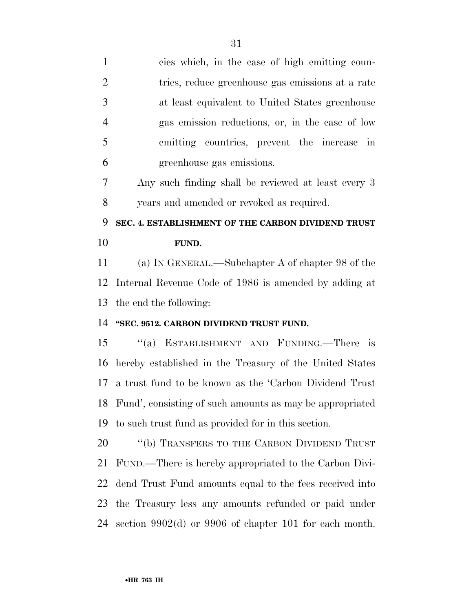| $\mathbf{1}$   | cies which, in the case of high emitting coun-              |
|----------------|-------------------------------------------------------------|
| $\overline{2}$ | tries, reduce greenhouse gas emissions at a rate            |
| 3              | at least equivalent to United States greenhouse             |
| $\overline{4}$ | gas emission reductions, or, in the case of low             |
| 5              | emitting countries, prevent the increase in                 |
| 6              | greenhouse gas emissions.                                   |
| 7              | Any such finding shall be reviewed at least every 3         |
| 8              | years and amended or revoked as required.                   |
| 9              | SEC. 4. ESTABLISHMENT OF THE CARBON DIVIDEND TRUST          |
| 10             | FUND.                                                       |
| 11             | (a) IN GENERAL.—Subchapter A of chapter 98 of the           |
|                |                                                             |
| 12             | Internal Revenue Code of 1986 is amended by adding at       |
|                | the end the following:                                      |
| 13<br>14       | "SEC. 9512. CARBON DIVIDEND TRUST FUND.                     |
|                | "(a) ESTABLISHMENT AND FUNDING.—There is                    |
|                | hereby established in the Treasury of the United States     |
|                | a trust fund to be known as the 'Carbon Dividend Trust      |
| 15<br>16<br>17 | 18 Fund', consisting of such amounts as may be appropriated |
| 19             | to such trust fund as provided for in this section.         |
| 20             | "(b) TRANSFERS TO THE CARBON DIVIDEND TRUST                 |
| 21             | FUND.—There is hereby appropriated to the Carbon Divi-      |
| 22             | dend Trust Fund amounts equal to the fees received into     |
| 23             | the Treasury less any amounts refunded or paid under        |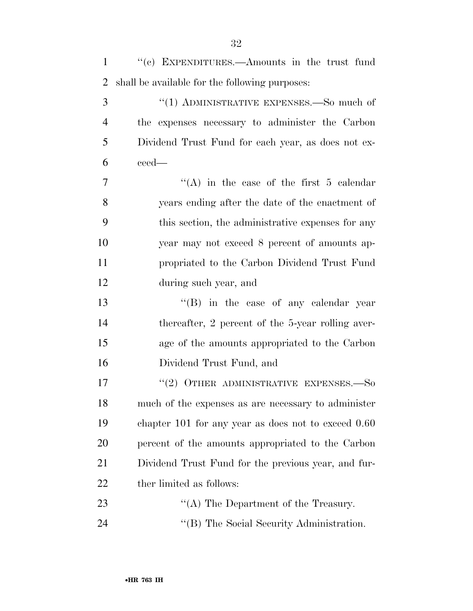| $\mathbf{1}$   | "(c) EXPENDITURES.—Amounts in the trust fund            |
|----------------|---------------------------------------------------------|
| $\overline{2}$ | shall be available for the following purposes:          |
| 3              | "(1) ADMINISTRATIVE EXPENSES.—So much of                |
| $\overline{4}$ | the expenses necessary to administer the Carbon         |
| 5              | Dividend Trust Fund for each year, as does not ex-      |
| 6              | ceed—                                                   |
| $\overline{7}$ | "(A) in the case of the first 5 calendar                |
| 8              | years ending after the date of the enactment of         |
| 9              | this section, the administrative expenses for any       |
| 10             | year may not exceed 8 percent of amounts ap-            |
| 11             | propriated to the Carbon Dividend Trust Fund            |
| 12             | during such year, and                                   |
| 13             | $\lq\lq$ (B) in the case of any calendar year           |
| 14             | thereafter, 2 percent of the 5-year rolling aver-       |
| 15             | age of the amounts appropriated to the Carbon           |
| 16             | Dividend Trust Fund, and                                |
| 17             | $(2)$ OTHER ADMINISTRATIVE EXPENSES.—So                 |
| 18             | much of the expenses as are necessary to administer     |
| 19             | chapter $101$ for any year as does not to exceed $0.60$ |
| 20             | percent of the amounts appropriated to the Carbon       |
| 21             | Dividend Trust Fund for the previous year, and fur-     |
| 22             | ther limited as follows:                                |
| 23             | $\lq\lq$ The Department of the Treasury.                |
|                |                                                         |

24 ''(B) The Social Security Administration.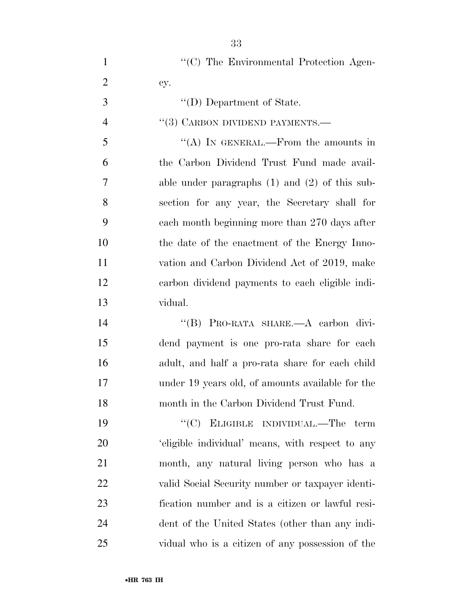| $\mathbf{1}$   | "(C) The Environmental Protection Agen-            |
|----------------|----------------------------------------------------|
| $\overline{2}$ | cy.                                                |
| 3              | "(D) Department of State.                          |
| $\overline{4}$ | $\cdot$ (3) CARBON DIVIDEND PAYMENTS.—             |
| 5              | "(A) IN GENERAL.—From the amounts in               |
| 6              | the Carbon Dividend Trust Fund made avail-         |
| 7              | able under paragraphs $(1)$ and $(2)$ of this sub- |
| 8              | section for any year, the Secretary shall for      |
| 9              | each month beginning more than 270 days after      |
| 10             | the date of the enactment of the Energy Inno-      |
| 11             | vation and Carbon Dividend Act of 2019, make       |
| 12             | carbon dividend payments to each eligible indi-    |
| 13             | vidual.                                            |
| 14             | "(B) PRO-RATA SHARE.—A carbon divi-                |
| 15             | dend payment is one pro-rata share for each        |
| 16             | adult, and half a pro-rata share for each child    |
| 17             | under 19 years old, of amounts available for the   |
| 18             | month in the Carbon Dividend Trust Fund.           |
| 19             | "(C) ELIGIBLE INDIVIDUAL.—The term                 |
| 20             | 'eligible individual' means, with respect to any   |
| 21             | month, any natural living person who has a         |
| 22             | valid Social Security number or taxpayer identi-   |
| 23             | fication number and is a citizen or lawful resi-   |
| 24             | dent of the United States (other than any indi-    |
| 25             | vidual who is a citizen of any possession of the   |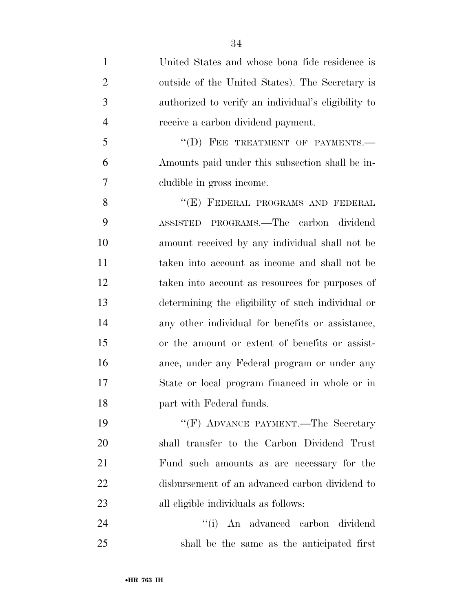United States and whose bona fide residence is outside of the United States). The Secretary is authorized to verify an individual's eligibility to receive a carbon dividend payment.

5 "(D) FEE TREATMENT OF PAYMENTS.— Amounts paid under this subsection shall be in-cludible in gross income.

8 "(E) FEDERAL PROGRAMS AND FEDERAL ASSISTED PROGRAMS.—The carbon dividend amount received by any individual shall not be taken into account as income and shall not be taken into account as resources for purposes of determining the eligibility of such individual or any other individual for benefits or assistance, or the amount or extent of benefits or assist- ance, under any Federal program or under any State or local program financed in whole or in part with Federal funds.

19 "'(F) ADVANCE PAYMENT.—The Secretary shall transfer to the Carbon Dividend Trust Fund such amounts as are necessary for the disbursement of an advanced carbon dividend to all eligible individuals as follows:

24 ''(i) An advanced carbon dividend shall be the same as the anticipated first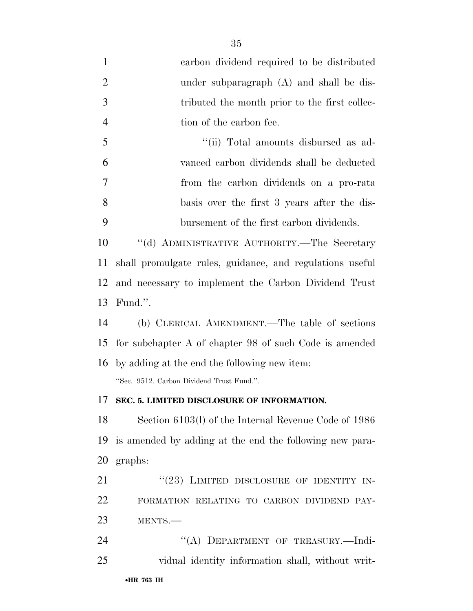| $\mathbf{1}$   | carbon dividend required to be distributed               |
|----------------|----------------------------------------------------------|
| $\overline{2}$ | under subparagraph (A) and shall be dis-                 |
| 3              | tributed the month prior to the first collec-            |
| $\overline{4}$ | tion of the carbon fee.                                  |
| 5              | "(ii) Total amounts disbursed as ad-                     |
| 6              | vanced carbon dividends shall be deducted                |
| 7              | from the carbon dividends on a pro-rata                  |
| 8              | basis over the first 3 years after the dis-              |
| 9              | bursement of the first carbon dividends.                 |
| 10             | "(d) ADMINISTRATIVE AUTHORITY.—The Secretary             |
| 11             | shall promulgate rules, guidance, and regulations useful |
| 12             | and necessary to implement the Carbon Dividend Trust     |
| 13             | Fund.".                                                  |
| 14             | (b) CLERICAL AMENDMENT.—The table of sections            |
| 15             | for subchapter A of chapter 98 of such Code is amended   |
| 16             | by adding at the end the following new item:             |
|                | "Sec. 9512. Carbon Dividend Trust Fund.".                |
|                | 17 SEC. 5. LIMITED DISCLOSURE OF INFORMATION.            |
| 18             | Section 6103(l) of the Internal Revenue Code of 1986     |
| 19             | is amended by adding at the end the following new para-  |
| 20             | graphs:                                                  |
| 21             | "(23) LIMITED DISCLOSURE OF IDENTITY IN-                 |
| 22             | FORMATION RELATING TO CARBON DIVIDEND PAY-               |
| 23             | MENTS.                                                   |
| 24             | "(A) DEPARTMENT OF TREASURY.-Indi-                       |
| 25             | vidual identity information shall, without writ-         |
|                |                                                          |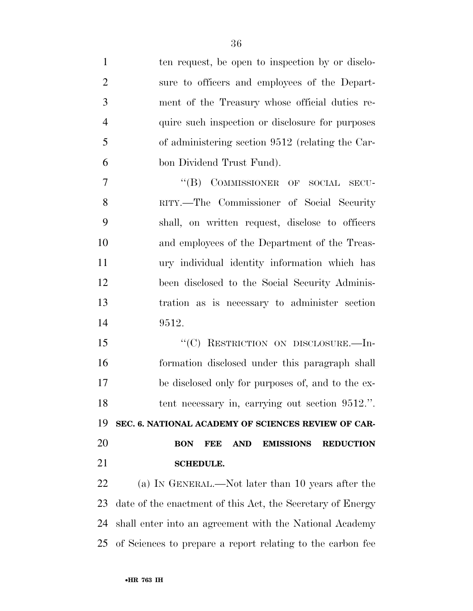| $\mathbf{1}$   | ten request, be open to inspection by or disclo-                               |
|----------------|--------------------------------------------------------------------------------|
| $\overline{2}$ | sure to officers and employees of the Depart-                                  |
| 3              | ment of the Treasury whose official duties re-                                 |
| $\overline{4}$ | quire such inspection or disclosure for purposes                               |
| 5              | of administering section 9512 (relating the Car-                               |
| 6              | bon Dividend Trust Fund).                                                      |
| $\overline{7}$ | "(B) COMMISSIONER OF SOCIAL SECU-                                              |
| 8              | RITY.—The Commissioner of Social Security                                      |
| 9              | shall, on written request, disclose to officers                                |
| 10             | and employees of the Department of the Treas-                                  |
| 11             | ury individual identity information which has                                  |
| 12             | been disclosed to the Social Security Adminis-                                 |
| 13             | tration as is necessary to administer section                                  |
| 14             | 9512.                                                                          |
| 15             | "(C) RESTRICTION ON DISCLOSURE.-In-                                            |
| 16             | formation disclosed under this paragraph shall                                 |
| 17             | be disclosed only for purposes of, and to the ex-                              |
| 18             | tent necessary in, carrying out section 9512.".                                |
| 19             | SEC. 6. NATIONAL ACADEMY OF SCIENCES REVIEW OF CAR-                            |
| 20             | <b>BON</b><br><b>FEE</b><br><b>AND</b><br><b>EMISSIONS</b><br><b>REDUCTION</b> |
| 21             | <b>SCHEDULE.</b>                                                               |
| 22             | (a) IN GENERAL.—Not later than 10 years after the                              |
| 23             | date of the enactment of this Act, the Secretary of Energy                     |
| 24             | shall enter into an agreement with the National Academy                        |
| 25             | of Sciences to prepare a report relating to the carbon fee                     |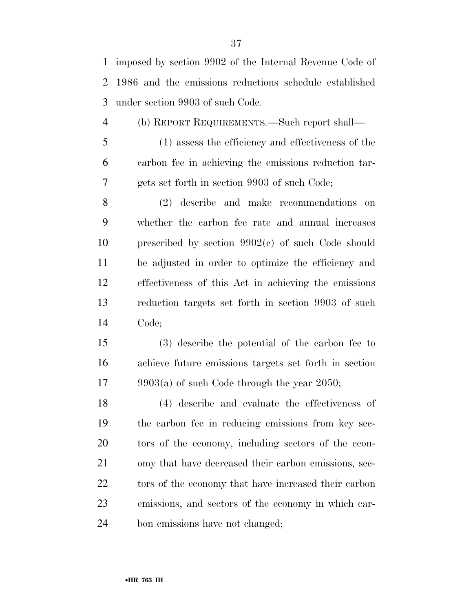imposed by section 9902 of the Internal Revenue Code of 1986 and the emissions reductions schedule established under section 9903 of such Code.

(b) REPORT REQUIREMENTS.—Such report shall—

 (1) assess the efficiency and effectiveness of the carbon fee in achieving the emissions reduction tar-gets set forth in section 9903 of such Code;

 (2) describe and make recommendations on whether the carbon fee rate and annual increases prescribed by section 9902(c) of such Code should be adjusted in order to optimize the efficiency and effectiveness of this Act in achieving the emissions reduction targets set forth in section 9903 of such Code;

 (3) describe the potential of the carbon fee to achieve future emissions targets set forth in section 9903(a) of such Code through the year 2050;

 (4) describe and evaluate the effectiveness of the carbon fee in reducing emissions from key sec- tors of the economy, including sectors of the econ- omy that have decreased their carbon emissions, sec-22 tors of the economy that have increased their carbon emissions, and sectors of the economy in which car-bon emissions have not changed;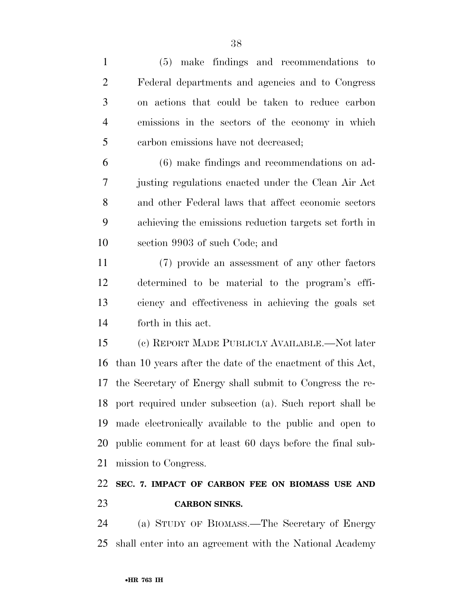| $\mathbf{1}$   | (5) make findings and recommendations to                    |
|----------------|-------------------------------------------------------------|
| $\overline{2}$ | Federal departments and agencies and to Congress            |
| 3              | on actions that could be taken to reduce carbon             |
| $\overline{4}$ | emissions in the sectors of the economy in which            |
| 5              | carbon emissions have not decreased;                        |
| 6              | (6) make findings and recommendations on ad-                |
| 7              | justing regulations enacted under the Clean Air Act         |
| 8              | and other Federal laws that affect economic sectors         |
| 9              | achieving the emissions reduction targets set forth in      |
| 10             | section 9903 of such Code; and                              |
| 11             | (7) provide an assessment of any other factors              |
| 12             | determined to be material to the program's effi-            |
| 13             | ciency and effectiveness in achieving the goals set         |
| 14             | forth in this act.                                          |
| 15             | (c) REPORT MADE PUBLICLY AVAILABLE.—Not later               |
| 16             | than 10 years after the date of the enactment of this Act,  |
| 17             | the Secretary of Energy shall submit to Congress the re-    |
|                | 18 port required under subsection (a). Such report shall be |
| 19             | made electronically available to the public and open to     |
| 20             | public comment for at least 60 days before the final sub-   |
| 21             | mission to Congress.                                        |
| 22             | SEC. 7. IMPACT OF CARBON FEE ON BIOMASS USE AND             |
| 23             | <b>CARBON SINKS.</b>                                        |
| $\gamma_4$     | (a) STILLY OF BIOMASS The Secretary of Energy               |

 (a) STUDY OF BIOMASS.—The Secretary of Energy shall enter into an agreement with the National Academy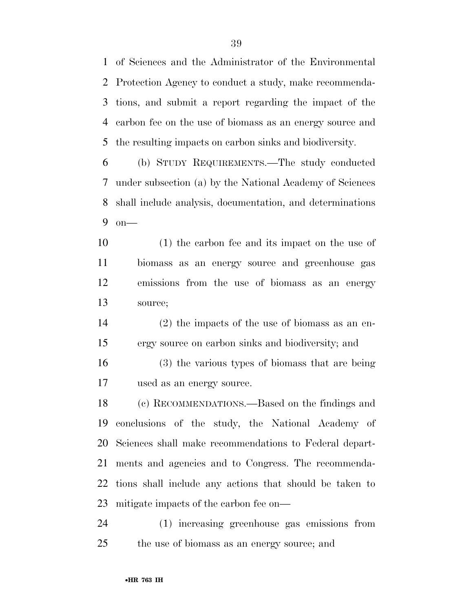of Sciences and the Administrator of the Environmental Protection Agency to conduct a study, make recommenda- tions, and submit a report regarding the impact of the carbon fee on the use of biomass as an energy source and the resulting impacts on carbon sinks and biodiversity.

 (b) STUDY REQUIREMENTS.—The study conducted under subsection (a) by the National Academy of Sciences shall include analysis, documentation, and determinations on—

 (1) the carbon fee and its impact on the use of biomass as an energy source and greenhouse gas emissions from the use of biomass as an energy source;

 (2) the impacts of the use of biomass as an en-ergy source on carbon sinks and biodiversity; and

 (3) the various types of biomass that are being used as an energy source.

 (c) RECOMMENDATIONS.—Based on the findings and conclusions of the study, the National Academy of Sciences shall make recommendations to Federal depart- ments and agencies and to Congress. The recommenda- tions shall include any actions that should be taken to mitigate impacts of the carbon fee on—

 (1) increasing greenhouse gas emissions from the use of biomass as an energy source; and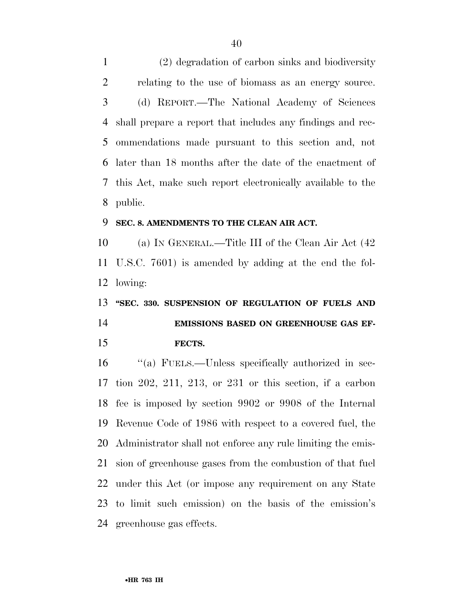(2) degradation of carbon sinks and biodiversity relating to the use of biomass as an energy source. (d) REPORT.—The National Academy of Sciences shall prepare a report that includes any findings and rec- ommendations made pursuant to this section and, not later than 18 months after the date of the enactment of this Act, make such report electronically available to the public.

#### **SEC. 8. AMENDMENTS TO THE CLEAN AIR ACT.**

 (a) IN GENERAL.—Title III of the Clean Air Act (42 U.S.C. 7601) is amended by adding at the end the fol-lowing:

# **''SEC. 330. SUSPENSION OF REGULATION OF FUELS AND EMISSIONS BASED ON GREENHOUSE GAS EF-FECTS.**

 ''(a) FUELS.—Unless specifically authorized in sec- tion 202, 211, 213, or 231 or this section, if a carbon fee is imposed by section 9902 or 9908 of the Internal Revenue Code of 1986 with respect to a covered fuel, the Administrator shall not enforce any rule limiting the emis- sion of greenhouse gases from the combustion of that fuel under this Act (or impose any requirement on any State to limit such emission) on the basis of the emission's greenhouse gas effects.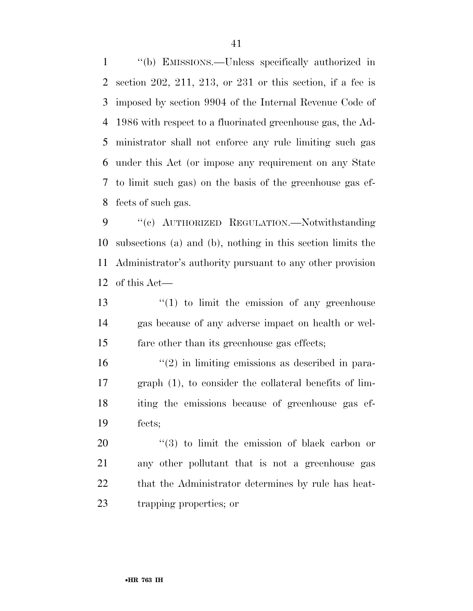''(b) EMISSIONS.—Unless specifically authorized in section 202, 211, 213, or 231 or this section, if a fee is imposed by section 9904 of the Internal Revenue Code of 1986 with respect to a fluorinated greenhouse gas, the Ad- ministrator shall not enforce any rule limiting such gas under this Act (or impose any requirement on any State to limit such gas) on the basis of the greenhouse gas ef-fects of such gas.

 ''(c) AUTHORIZED REGULATION.—Notwithstanding subsections (a) and (b), nothing in this section limits the Administrator's authority pursuant to any other provision of this Act—

13  $\frac{13}{12}$  to limit the emission of any greenhouse gas because of any adverse impact on health or wel-fare other than its greenhouse gas effects;

 $\frac{16}{2}$  <sup>(2)</sup> in limiting emissions as described in para- graph (1), to consider the collateral benefits of lim- iting the emissions because of greenhouse gas ef-fects;

 $(3)$  to limit the emission of black carbon or any other pollutant that is not a greenhouse gas 22 that the Administrator determines by rule has heat-trapping properties; or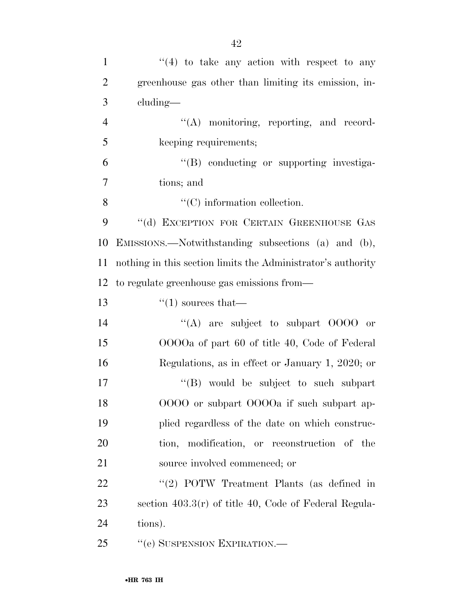| $\mathbf{1}$   | $\cdot$ (4) to take any action with respect to any           |
|----------------|--------------------------------------------------------------|
| $\overline{2}$ | greenhouse gas other than limiting its emission, in-         |
| 3              | cluding—                                                     |
| $\overline{4}$ | $\lq\lq$ monitoring, reporting, and record-                  |
| 5              | keeping requirements;                                        |
| 6              | "(B) conducting or supporting investiga-                     |
| 7              | tions; and                                                   |
| 8              | $\lq\lq$ (C) information collection.                         |
| 9              | "(d) EXCEPTION FOR CERTAIN GREENHOUSE GAS                    |
| 10             | EMISSIONS.—Notwithstanding subsections (a) and (b),          |
| 11             | nothing in this section limits the Administrator's authority |
| 12             | to regulate greenhouse gas emissions from—                   |
| 13             | $\cdot$ (1) sources that—                                    |
| 14             | "(A) are subject to subpart $0000$ or                        |
| 15             | OOOOa of part 60 of title 40, Code of Federal                |
| 16             | Regulations, as in effect or January 1, 2020; or             |
| 17             | "(B) would be subject to such subpart                        |
| 18             | OOOO or subpart OOOOa if such subpart ap-                    |
| 19             | plied regardless of the date on which construc-              |
| 20             | tion, modification, or reconstruction of the                 |
| 21             | source involved commenced; or                                |
| 22             | "(2) POTW Treatment Plants (as defined in                    |
| 23             | section $403.3(r)$ of title 40, Code of Federal Regula-      |
| 24             | tions).                                                      |
| 25             | "(e) SUSPENSION EXPIRATION.—                                 |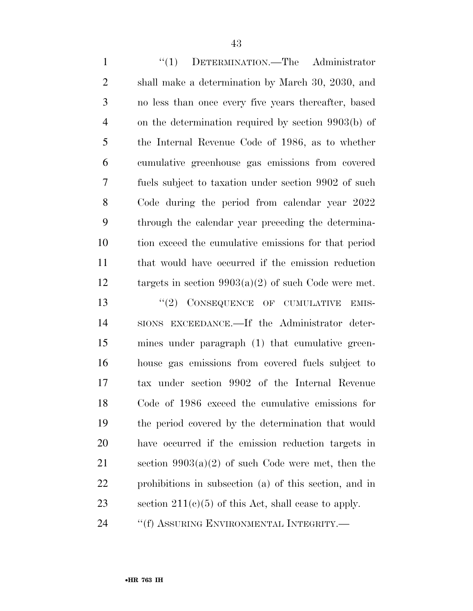1 "(1) DETERMINATION.—The Administrator shall make a determination by March 30, 2030, and no less than once every five years thereafter, based on the determination required by section 9903(b) of the Internal Revenue Code of 1986, as to whether cumulative greenhouse gas emissions from covered fuels subject to taxation under section 9902 of such Code during the period from calendar year 2022 through the calendar year preceding the determina- tion exceed the cumulative emissions for that period that would have occurred if the emission reduction targets in section 9903(a)(2) of such Code were met. 13 "(2) CONSEQUENCE OF CUMULATIVE EMIS- SIONS EXCEEDANCE.—If the Administrator deter- mines under paragraph (1) that cumulative green- house gas emissions from covered fuels subject to tax under section 9902 of the Internal Revenue Code of 1986 exceed the cumulative emissions for the period covered by the determination that would have occurred if the emission reduction targets in 21 section  $9903(a)(2)$  of such Code were met, then the prohibitions in subsection (a) of this section, and in 23 section  $211(c)(5)$  of this Act, shall cease to apply.

24 <sup>''</sup>(f) ASSURING ENVIRONMENTAL INTEGRITY.—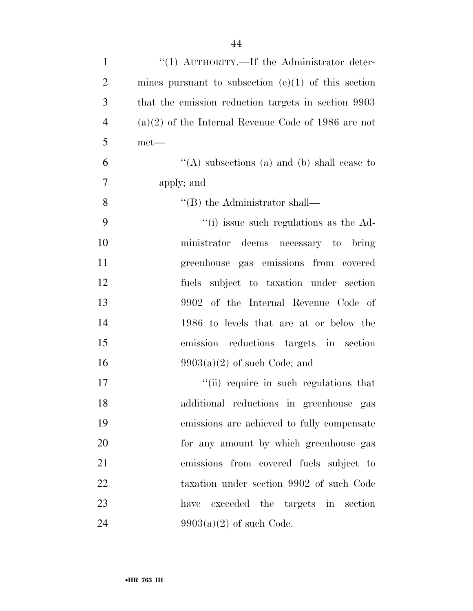| $\mathbf{1}$   | "(1) $\text{AUTHORITY}$ . If the Administrator deter- |
|----------------|-------------------------------------------------------|
| $\overline{2}$ | mines pursuant to subsection $(e)(1)$ of this section |
| 3              | that the emission reduction targets in section 9903   |
| $\overline{4}$ | $(a)(2)$ of the Internal Revenue Code of 1986 are not |
| 5              | $met-$                                                |
| 6              | "(A) subsections (a) and (b) shall cease to           |
| 7              | apply; and                                            |
| 8              | $\lq$ <sup>"</sup> (B) the Administrator shall—       |
| 9              | $\cdot$ (i) issue such regulations as the Ad-         |
| 10             | ministrator deems necessary to bring                  |
| 11             | greenhouse gas emissions from covered                 |
| 12             | fuels subject to taxation under section               |
| 13             | 9902 of the Internal Revenue Code of                  |
| 14             | 1986 to levels that are at or below the               |
| 15             | emission reductions targets in section                |
| 16             | $9903(a)(2)$ of such Code; and                        |
| 17             | "(ii) require in such regulations that                |
| 18             | additional reductions in greenhouse gas               |
| 19             | emissions are achieved to fully compensate            |
| 20             | for any amount by which greenhouse gas                |
| 21             | emissions from covered fuels subject to               |
| 22             | taxation under section 9902 of such Code              |
| 23             | exceeded the targets in section<br>have               |
| 24             | $9903(a)(2)$ of such Code.                            |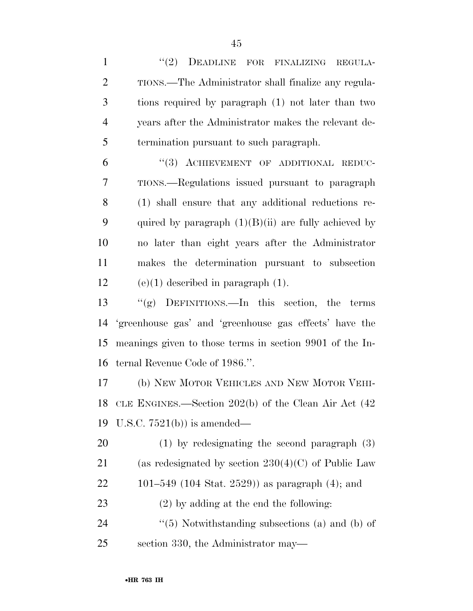1 "(2) DEADLINE FOR FINALIZING REGULA- TIONS.—The Administrator shall finalize any regula- tions required by paragraph (1) not later than two years after the Administrator makes the relevant de-termination pursuant to such paragraph.

6 "(3) ACHIEVEMENT OF ADDITIONAL REDUC- TIONS.—Regulations issued pursuant to paragraph (1) shall ensure that any additional reductions re-9 quired by paragraph  $(1)(B)(ii)$  are fully achieved by no later than eight years after the Administrator makes the determination pursuant to subsection 12 (e)(1) described in paragraph  $(1)$ .

 ''(g) DEFINITIONS.—In this section, the terms 'greenhouse gas' and 'greenhouse gas effects' have the meanings given to those terms in section 9901 of the In-ternal Revenue Code of 1986.''.

 (b) NEW MOTOR VEHICLES AND NEW MOTOR VEHI- CLE ENGINES.—Section 202(b) of the Clean Air Act (42 U.S.C. 7521(b)) is amended—

 (1) by redesignating the second paragraph (3) 21 (as redesignated by section  $230(4)(C)$  of Public Law 101–549 (104 Stat. 2529)) as paragraph (4); and

(2) by adding at the end the following:

24 ''(5) Notwithstanding subsections (a) and (b) of section 330, the Administrator may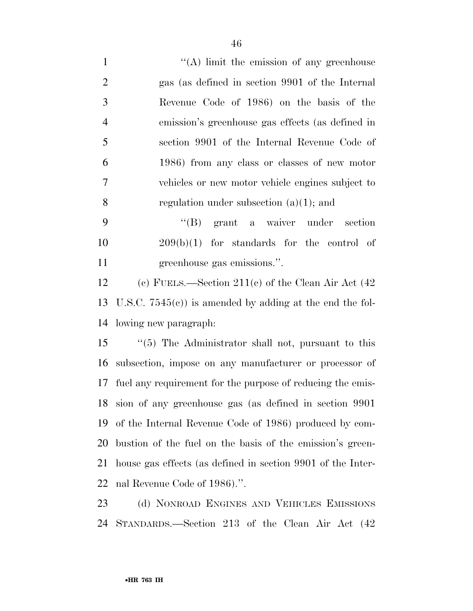1 ''(A) limit the emission of any greenhouse gas (as defined in section 9901 of the Internal Revenue Code of 1986) on the basis of the emission's greenhouse gas effects (as defined in section 9901 of the Internal Revenue Code of 1986) from any class or classes of new motor vehicles or new motor vehicle engines subject to regulation under subsection (a)(1); and

 ''(B) grant a waiver under section 209(b)(1) for standards for the control of greenhouse gas emissions.''.

 (c) FUELS.—Section 211(c) of the Clean Air Act (42 U.S.C. 7545(c)) is amended by adding at the end the fol-lowing new paragraph:

 ''(5) The Administrator shall not, pursuant to this subsection, impose on any manufacturer or processor of fuel any requirement for the purpose of reducing the emis- sion of any greenhouse gas (as defined in section 9901 of the Internal Revenue Code of 1986) produced by com- bustion of the fuel on the basis of the emission's green- house gas effects (as defined in section 9901 of the Inter-nal Revenue Code of 1986).''.

 (d) NONROAD ENGINES AND VEHICLES EMISSIONS STANDARDS.—Section 213 of the Clean Air Act (42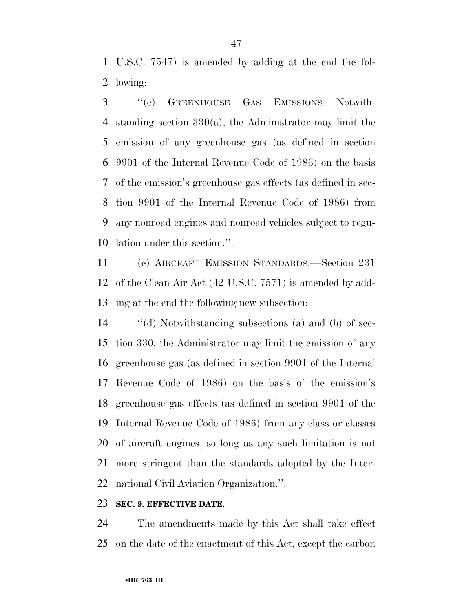U.S.C. 7547) is amended by adding at the end the fol-lowing:

 ''(e) GREENHOUSE GAS EMISSIONS.—Notwith- standing section 330(a), the Administrator may limit the emission of any greenhouse gas (as defined in section 9901 of the Internal Revenue Code of 1986) on the basis of the emission's greenhouse gas effects (as defined in sec- tion 9901 of the Internal Revenue Code of 1986) from any nonroad engines and nonroad vehicles subject to regu-lation under this section.''.

 (e) AIRCRAFT EMISSION STANDARDS.—Section 231 of the Clean Air Act (42 U.S.C. 7571) is amended by add-ing at the end the following new subsection:

 ''(d) Notwithstanding subsections (a) and (b) of sec- tion 330, the Administrator may limit the emission of any greenhouse gas (as defined in section 9901 of the Internal Revenue Code of 1986) on the basis of the emission's greenhouse gas effects (as defined in section 9901 of the Internal Revenue Code of 1986) from any class or classes of aircraft engines, so long as any such limitation is not more stringent than the standards adopted by the Inter-national Civil Aviation Organization.''.

#### **SEC. 9. EFFECTIVE DATE.**

 The amendments made by this Act shall take effect on the date of the enactment of this Act, except the carbon